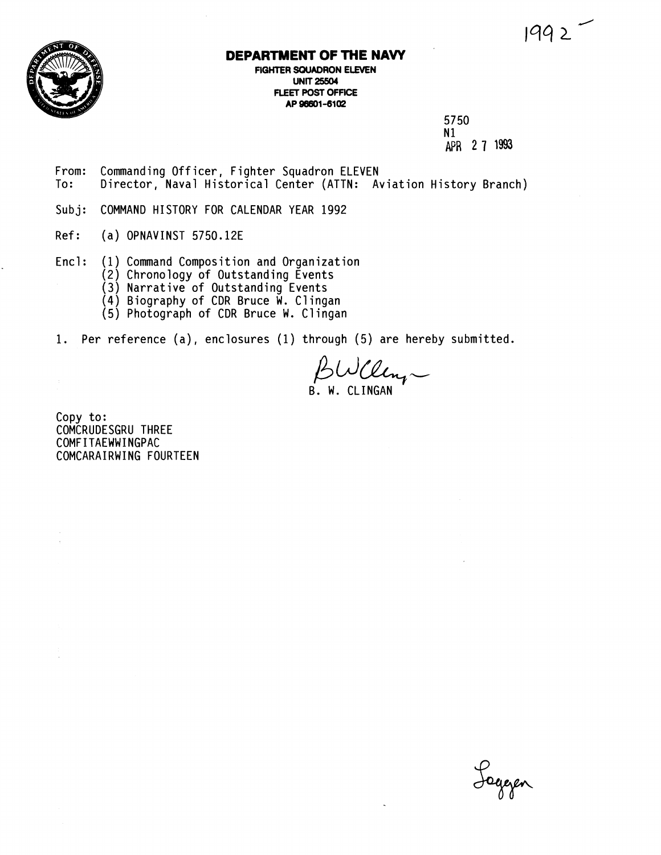

## **DEPARTMENT OF THE NAVY**

**FIGHTER SQUADRON ELEVEN UNIT 25504 FLEET POST OFFICE** AP 96601-6102

> 5750  $N1$ AFR **2 7 1993**

- From: Commanding Officer, Fighter Squadron ELEVEN<br>To: Director, Naval Historical Center (ATTN: A Director, Naval Historical Center (ATTN: Aviation History Branch)
- Subj: COMMAND HISTORY FOR CALENDAR YEAR 1992
- Ref: (a) OPNAVINST 5750.12E
- Encl: (1) Command Composition and Organization
	- (2) Chronology of Outstanding Events
	- (3) Narrative of Outstanding Events
	- (4) Biography of CDR Bruce W. Cl ingan
	- (5) Photograph of CDR Bruce W. Clingan
- 1. Per reference (a), enclosures (1) through (5) are hereby submitted.

BWCleng

Copy to: COMCRUDESGRU THREE COMFITAEWWINGPAC COMCARAIRWING FOURTEEN

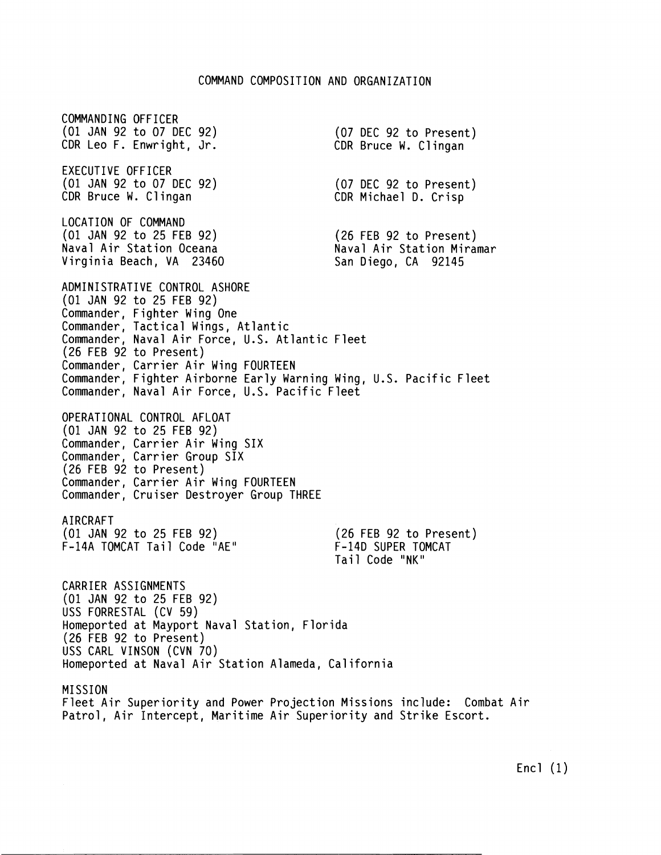COMMANDING OFFICER (01 JAN 92 to 07 DEC 92) CDR Leo F. Enwright, Jr. EXECUTIVE OFFICER (01 JAN 92 to 07 DEC 92) CDR Bruce W. Clingan LOCATION OF COMMAND (01 JAN 92 to 25 FEB 92) Naval Air Station Oceana Virginia Beach, VA 23460 (07 DEC 92 to Present) CDR Bruce W. Clingan (07 DEC 92 to Present) CDR Michael D. Crisp (26 FEB 92 to Present) Naval Air Station Miramar San Diego, CA 92145 ADMINISTRATIVE CONTROL ASHORE (01 JAN 92 to 25 FEB 92) Commander, Fighter Wing One Commander, Tactical Wings, Atlantic Commander, Naval Air Force, U.S. Atlantic Fleet (26 FEB 92 to Present) Commander, Carrier Air Wing FOURTEEN Commander, Fighter Airborne Early Warning Wing, U.S. Pacific Fleet Commander, Naval Air Force, U.S. Pacific Fleet OPERATIONAL CONTROL AFLOAT (01 JAN 92 to 25 FEB 92) Commander, Carrier Air Wing SIX Commander, Carrier Group SIX (26 FEB 92 to Present) Commander, Carrier Air Wing FOURTEEN Commander, Cruiser Destroyer Group THREE A1 RCRAFT (01 JAN 92 to 25 FEB 92) F-14A TOMCAT Tail Code "AE" (26 FEB 92 to Present) F-14D SUPER TOMCAT Tail Code "NK" CARRIER ASSIGNMENTS (01 JAN 92 to 25 FEB 92) USS FORRESTAL (CV 59) Homeported at Mayport Naval Station, Florida (26 FEB 92 to Present) USS CARL VINSON (CVN 70) Homeported at Naval Air Station Alameda, California MISSION Fleet Air Superiority and Power Projection Missions include: Combat Air Patrol, Air Intercept, Maritime Air Superiority and Strike Escort.

Encl (1)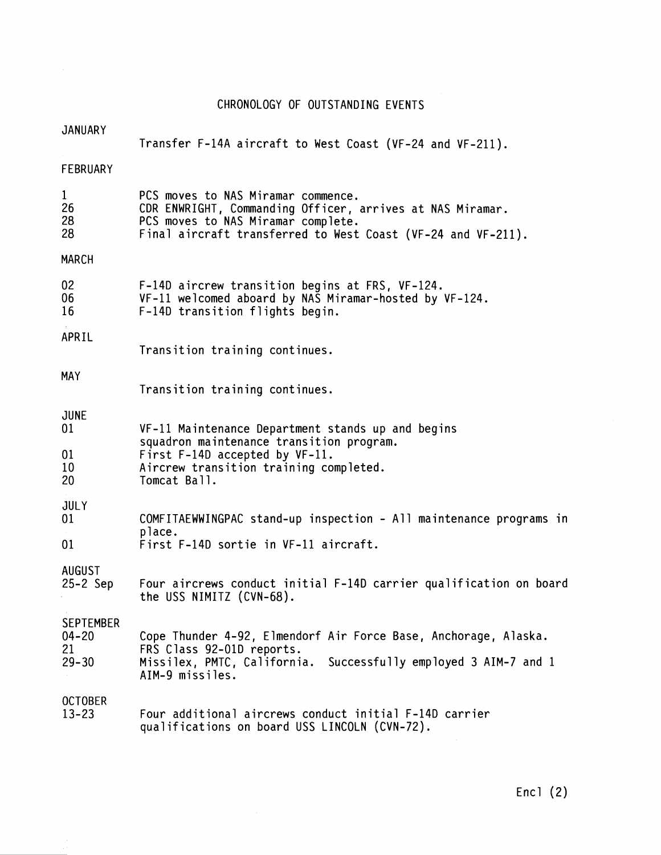## CHRONOLOGY OF OUTSTANDING EVENTS

| <b>JANUARY</b>                                   | Transfer F-14A aircraft to West Coast (VF-24 and VF-211).                                                                                                                                             |
|--------------------------------------------------|-------------------------------------------------------------------------------------------------------------------------------------------------------------------------------------------------------|
| FEBRUARY                                         |                                                                                                                                                                                                       |
| $\mathbf{1}$<br>26<br>28<br>28                   | PCS moves to NAS Miramar commence.<br>CDR ENWRIGHT, Commanding Officer, arrives at NAS Miramar.<br>PCS moves to NAS Miramar complete.<br>Final aircraft transferred to West Coast (VF-24 and VF-211). |
| <b>MARCH</b>                                     |                                                                                                                                                                                                       |
| 02<br>06<br>16                                   | F-14D aircrew transition begins at FRS, VF-124.<br>VF-11 welcomed aboard by NAS Miramar-hosted by VF-124.<br>F-14D transition flights begin.                                                          |
| APRIL                                            | Transition training continues.                                                                                                                                                                        |
| <b>MAY</b>                                       | Transition training continues.                                                                                                                                                                        |
| <b>JUNE</b><br>01                                | VF-11 Maintenance Department stands up and begins<br>squadron maintenance transition program.<br>First F-14D accepted by VF-11.<br>Aircrew transition training completed.<br>Tomcat Ball.             |
| 01<br>10<br>20                                   |                                                                                                                                                                                                       |
| <b>JULY</b><br>01                                | COMFITAEWWINGPAC stand-up inspection - All maintenance programs in<br>place.<br>First F-14D sortie in VF-11 aircraft.                                                                                 |
| 01                                               |                                                                                                                                                                                                       |
| <b>AUGUST</b><br>$25-2$ Sep                      | Four aircrews conduct initial F-14D carrier qualification on board<br>the USS NIMITZ (CVN-68).                                                                                                        |
| <b>SEPTEMBER</b><br>$04 - 20$<br>21<br>$29 - 30$ | Cope Thunder 4-92, Elmendorf Air Force Base, Anchorage, Alaska.<br>FRS Class 92-01D reports.<br>Missilex, PMTC, California. Successfully employed 3 AIM-7 and 1<br>AIM-9 missiles.                    |
| <b>OCTOBER</b><br>$13 - 23$                      | Four additional aircrews conduct initial F-14D carrier<br>qualifications on board USS LINCOLN (CVN-72).                                                                                               |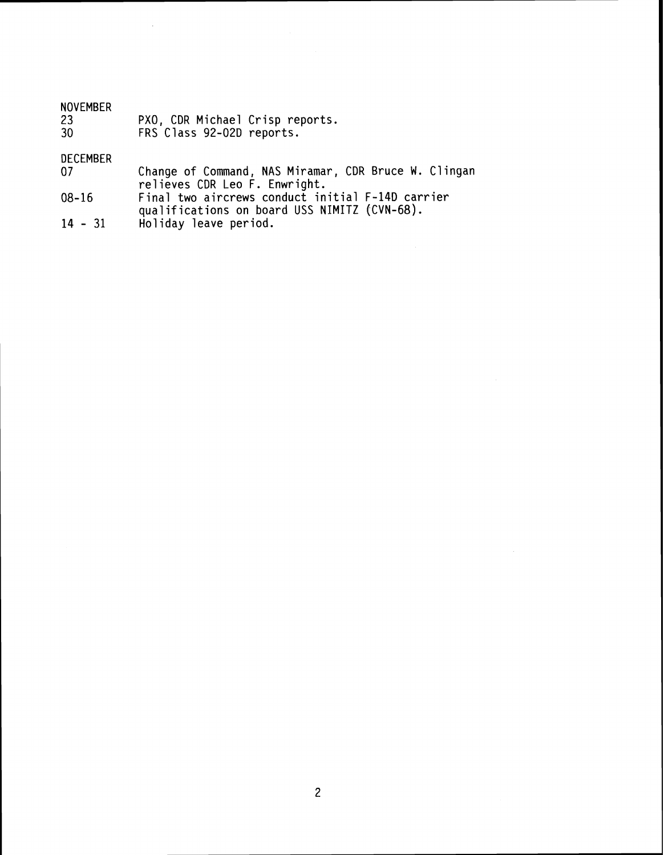| <b>NOVEMBER</b><br>-23<br>-30 | PXO, CDR Michael Crisp reports.<br>FRS Class 92-02D reports. |
|-------------------------------|--------------------------------------------------------------|
| DECEMBER                      |                                                              |
|                               | Change of Command, NAS Miramar, CDR Bruce W. Clingan         |
|                               | relieves CDR Leo F. Enwright.                                |
| 08-16                         | Final two aircrews conduct initial F-14D carrier             |

- **qua1 if ications on board USS NIMITZ [CVN-68). 14 31 Holiday leave period.**
- 

 $\sim$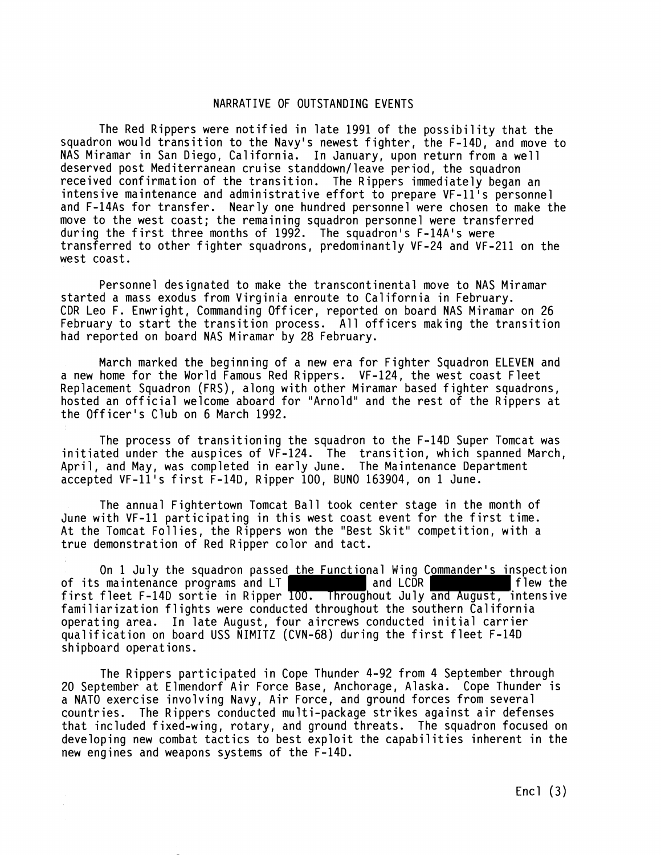## NARRATIVE OF OUTSTANDING EVENTS

The Red Rippers were notified in late 1991 of the possibility that the squadron would transition to the Navy's newest fighter, the F-14D, and move to NAS Miramar in San Diego, California. In January, upon return from a well deserved post Mediterranean cruise standdown/leave period, the squadron received confirmation of the transition. The Rippers immediately began an intensive maintenance and administrative effort to prepare VF-11's personnel and F-14As for transfer. Nearly one hundred personnel were chosen to make the move to the west coast; the remaining squadron personnel were transferred during the first three months of 1992. The squadron's F-14A's were transferred to other fighter squadrons, predominantly VF-24 and VF-211 on the west coast.

Personnel designated to make the transcontinental move to NAS Miramar started a mass exodus from Virginia enroute to California in February. CDR Leo F. Enwright, Commanding Officer, reported on board NAS Miramar on 26 February to start the transition process. All officers making the transition had reported on board NAS Miramar by 28 February.

March marked the beginning of a new era for Fighter Squadron ELEVEN and a new home for the World Famous Red Rippers. VF-124, the west coast Fleet Replacement Squadron (FRS) , along with other Miramar based fighter squadrons, hosted an official welcome aboard for "Arnold" and the rest of the Rippers at the Officer's Club on 6 March 1992.

The process of transitioning the squadron to the F-14D Super Tomcat was initiated under the auspices of VF-124. The transition, which spanned March, April, and May, was completed in early June. The Maintenance Department accepted VF-11's first F-14D, Ripper 100, BUN0 163904, on 1 June.

The annual Fightertown Tomcat Ball took center stage in the month of June with VF-11 participating in this west coast event for the first time. At the Tomcat Follies, the Rippers won the "Best Skit" competition, with a true demonstration of Red Ripper color and tact.

On 1 July the squadron passed the Functional Wing Commander's inspection<br>maintenance programs and LT and LCDR of its maintenance programs and  $LT$ first fleet F-14D sortie in Ripper 100. Throughout July and August, intensive familiarization flights were conducted throughout the southern California operating area. In late August, four aircrews conducted initial carrier qualification on board USS NIMITZ (CVN-68) during the first fleet F-14D shipboard operations.

The Rippers participated in Cope Thunder 4-92 from 4 September through 20 September at Elmendorf Air Force Base, Anchorage, Alaska. Cope Thunder is a NATO exercise involving Navy, Air Force, and ground forces from several countries. The Rippers conducted multi-package strikes against air defenses that included f ixed-wing, rotary, and ground threats. The squadron focused on developing new combat tactics to best exploit the capabilities inherent in the new engines and weapons systems of the F-14D.